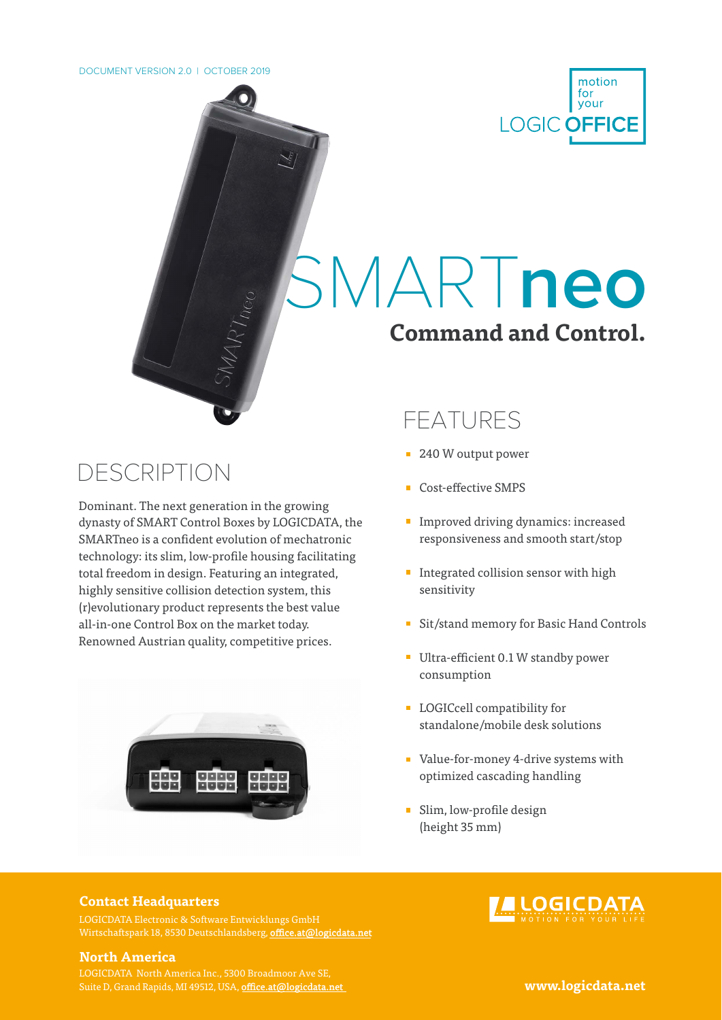DOCUMENT VERSION 2.0 | OCTOBER 2019



SMART**neo Command and Control.**

# DESCRIPTION

Dominant. The next generation in the growing dynasty of SMART Control Boxes by LOGICDATA, the SMARTneo is a confident evolution of mechatronic technology: its slim, low-profile housing facilitating total freedom in design. Featuring an integrated, highly sensitive collision detection system, this (r)evolutionary product represents the best value all-in-one Control Box on the market today. Renowned Austrian quality, competitive prices.



## FEATURES

- 240 W output power
- $\blacksquare$  Cost-effective SMPS
- **Improved driving dynamics: increased** responsiveness and smooth start/stop
- $\blacksquare$  Integrated collision sensor with high sensitivity
- **Sit/stand memory for Basic Hand Controls**
- $\blacksquare$  Ultra-efficient 0.1 W standby power consumption
- **LOGICcell compatibility for** standalone/mobile desk solutions
- **Value-for-money 4-drive systems with** optimized cascading handling
- Slim, low-profile design (height 35 mm)

### **Contact Headquarters**

Wirtschaftspark 18, 8530 Deutschlandsberg, **office.at@logicdata.net** LOGICDATA Electronic & Software Entwicklungs GmbH

#### **North America**

Suite D, Grand Rapids, MI 49512, USA, office.at@logicdata.net